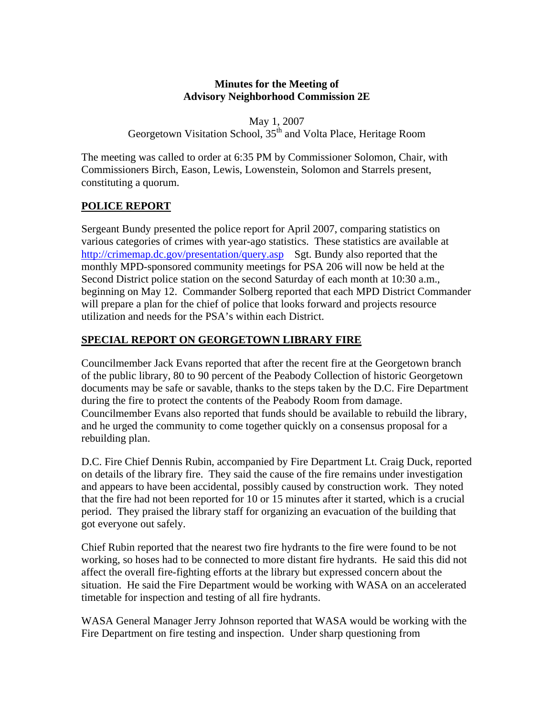## **Minutes for the Meeting of Advisory Neighborhood Commission 2E**

May 1, 2007 Georgetown Visitation School, 35<sup>th</sup> and Volta Place, Heritage Room

The meeting was called to order at 6:35 PM by Commissioner Solomon, Chair, with Commissioners Birch, Eason, Lewis, Lowenstein, Solomon and Starrels present, constituting a quorum.

# **POLICE REPORT**

Sergeant Bundy presented the police report for April 2007, comparing statistics on various categories of crimes with year-ago statistics. These statistics are available at <http://crimemap.dc.gov/presentation/query.asp>Sgt. Bundy also reported that the monthly MPD-sponsored community meetings for PSA 206 will now be held at the Second District police station on the second Saturday of each month at 10:30 a.m., beginning on May 12. Commander Solberg reported that each MPD District Commander will prepare a plan for the chief of police that looks forward and projects resource utilization and needs for the PSA's within each District.

# **SPECIAL REPORT ON GEORGETOWN LIBRARY FIRE**

Councilmember Jack Evans reported that after the recent fire at the Georgetown branch of the public library, 80 to 90 percent of the Peabody Collection of historic Georgetown documents may be safe or savable, thanks to the steps taken by the D.C. Fire Department during the fire to protect the contents of the Peabody Room from damage. Councilmember Evans also reported that funds should be available to rebuild the library, and he urged the community to come together quickly on a consensus proposal for a rebuilding plan.

D.C. Fire Chief Dennis Rubin, accompanied by Fire Department Lt. Craig Duck, reported on details of the library fire. They said the cause of the fire remains under investigation and appears to have been accidental, possibly caused by construction work. They noted that the fire had not been reported for 10 or 15 minutes after it started, which is a crucial period. They praised the library staff for organizing an evacuation of the building that got everyone out safely.

Chief Rubin reported that the nearest two fire hydrants to the fire were found to be not working, so hoses had to be connected to more distant fire hydrants. He said this did not affect the overall fire-fighting efforts at the library but expressed concern about the situation. He said the Fire Department would be working with WASA on an accelerated timetable for inspection and testing of all fire hydrants.

WASA General Manager Jerry Johnson reported that WASA would be working with the Fire Department on fire testing and inspection. Under sharp questioning from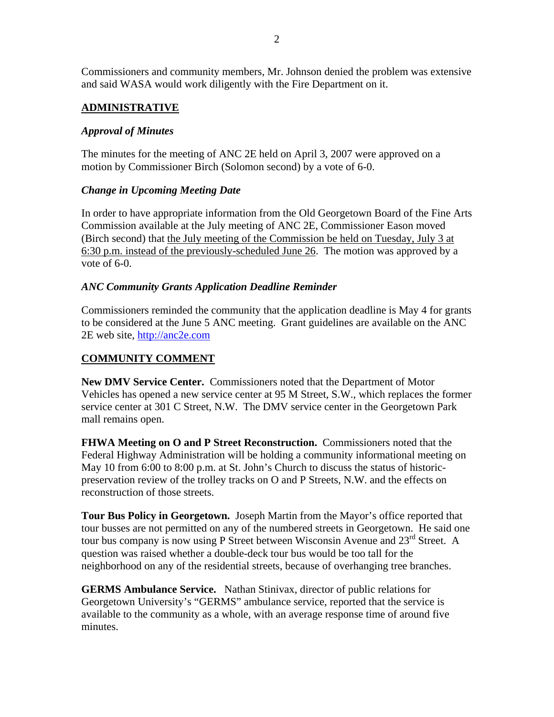Commissioners and community members, Mr. Johnson denied the problem was extensive and said WASA would work diligently with the Fire Department on it.

## **ADMINISTRATIVE**

## *Approval of Minutes*

The minutes for the meeting of ANC 2E held on April 3, 2007 were approved on a motion by Commissioner Birch (Solomon second) by a vote of 6-0.

## *Change in Upcoming Meeting Date*

In order to have appropriate information from the Old Georgetown Board of the Fine Arts Commission available at the July meeting of ANC 2E, Commissioner Eason moved (Birch second) that the July meeting of the Commission be held on Tuesday, July 3 at 6:30 p.m. instead of the previously-scheduled June 26. The motion was approved by a vote of 6-0.

#### *ANC Community Grants Application Deadline Reminder*

Commissioners reminded the community that the application deadline is May 4 for grants to be considered at the June 5 ANC meeting. Grant guidelines are available on the ANC 2E web site, [http://anc2e.com](http://anc2e.com/)

## **COMMUNITY COMMENT**

**New DMV Service Center.** Commissioners noted that the Department of Motor Vehicles has opened a new service center at 95 M Street, S.W., which replaces the former service center at 301 C Street, N.W. The DMV service center in the Georgetown Park mall remains open.

**FHWA Meeting on O and P Street Reconstruction.** Commissioners noted that the Federal Highway Administration will be holding a community informational meeting on May 10 from 6:00 to 8:00 p.m. at St. John's Church to discuss the status of historicpreservation review of the trolley tracks on O and P Streets, N.W. and the effects on reconstruction of those streets.

**Tour Bus Policy in Georgetown.** Joseph Martin from the Mayor's office reported that tour busses are not permitted on any of the numbered streets in Georgetown. He said one tour bus company is now using P Street between Wisconsin Avenue and  $23<sup>rd</sup>$  Street. A question was raised whether a double-deck tour bus would be too tall for the neighborhood on any of the residential streets, because of overhanging tree branches.

**GERMS Ambulance Service.** Nathan Stinivax, director of public relations for Georgetown University's "GERMS" ambulance service, reported that the service is available to the community as a whole, with an average response time of around five minutes.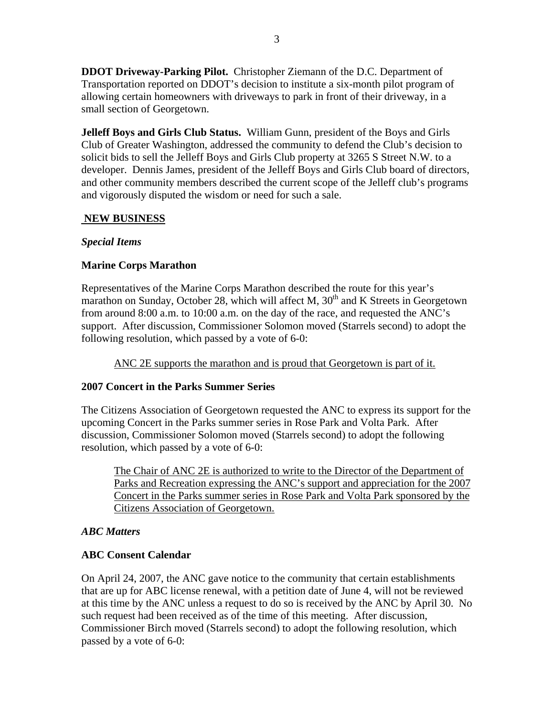**DDOT Driveway-Parking Pilot.** Christopher Ziemann of the D.C. Department of Transportation reported on DDOT's decision to institute a six-month pilot program of allowing certain homeowners with driveways to park in front of their driveway, in a small section of Georgetown.

**Jelleff Boys and Girls Club Status.** William Gunn, president of the Boys and Girls Club of Greater Washington, addressed the community to defend the Club's decision to solicit bids to sell the Jelleff Boys and Girls Club property at 3265 S Street N.W. to a developer. Dennis James, president of the Jelleff Boys and Girls Club board of directors, and other community members described the current scope of the Jelleff club's programs and vigorously disputed the wisdom or need for such a sale.

#### **NEW BUSINESS**

#### *Special Items*

## **Marine Corps Marathon**

Representatives of the Marine Corps Marathon described the route for this year's marathon on Sunday, October 28, which will affect M,  $30<sup>th</sup>$  and K Streets in Georgetown from around 8:00 a.m. to 10:00 a.m. on the day of the race, and requested the ANC's support. After discussion, Commissioner Solomon moved (Starrels second) to adopt the following resolution, which passed by a vote of 6-0:

ANC 2E supports the marathon and is proud that Georgetown is part of it.

## **2007 Concert in the Parks Summer Series**

The Citizens Association of Georgetown requested the ANC to express its support for the upcoming Concert in the Parks summer series in Rose Park and Volta Park. After discussion, Commissioner Solomon moved (Starrels second) to adopt the following resolution, which passed by a vote of 6-0:

The Chair of ANC 2E is authorized to write to the Director of the Department of Parks and Recreation expressing the ANC's support and appreciation for the 2007 Concert in the Parks summer series in Rose Park and Volta Park sponsored by the Citizens Association of Georgetown.

#### *ABC Matters*

## **ABC Consent Calendar**

On April 24, 2007, the ANC gave notice to the community that certain establishments that are up for ABC license renewal, with a petition date of June 4, will not be reviewed at this time by the ANC unless a request to do so is received by the ANC by April 30. No such request had been received as of the time of this meeting. After discussion, Commissioner Birch moved (Starrels second) to adopt the following resolution, which passed by a vote of 6-0: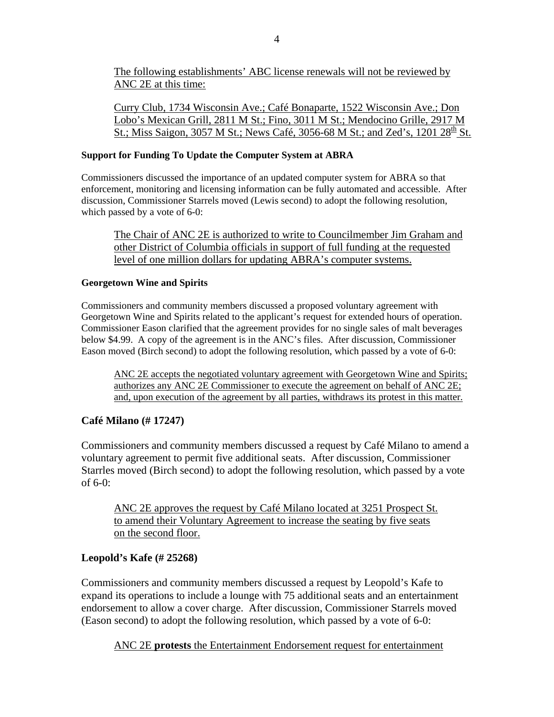The following establishments' ABC license renewals will not be reviewed by ANC 2E at this time:

Curry Club, 1734 Wisconsin Ave.; Café Bonaparte, 1522 Wisconsin Ave.; Don Lobo's Mexican Grill, 2811 M St.; Fino, 3011 M St.; Mendocino Grille, 2917 M St.; Miss Saigon, 3057 M St.; News Café, 3056-68 M St.; and Zed's, 1201  $28^{\text{th}}$  St.

#### **Support for Funding To Update the Computer System at ABRA**

Commissioners discussed the importance of an updated computer system for ABRA so that enforcement, monitoring and licensing information can be fully automated and accessible. After discussion, Commissioner Starrels moved (Lewis second) to adopt the following resolution, which passed by a vote of 6-0:

The Chair of ANC 2E is authorized to write to Councilmember Jim Graham and other District of Columbia officials in support of full funding at the requested level of one million dollars for updating ABRA's computer systems.

#### **Georgetown Wine and Spirits**

Commissioners and community members discussed a proposed voluntary agreement with Georgetown Wine and Spirits related to the applicant's request for extended hours of operation. Commissioner Eason clarified that the agreement provides for no single sales of malt beverages below \$4.99. A copy of the agreement is in the ANC's files. After discussion, Commissioner Eason moved (Birch second) to adopt the following resolution, which passed by a vote of 6-0:

ANC 2E accepts the negotiated voluntary agreement with Georgetown Wine and Spirits; authorizes any ANC 2E Commissioner to execute the agreement on behalf of ANC 2E; and, upon execution of the agreement by all parties, withdraws its protest in this matter.

#### **Café Milano (# 17247)**

Commissioners and community members discussed a request by Café Milano to amend a voluntary agreement to permit five additional seats. After discussion, Commissioner Starrles moved (Birch second) to adopt the following resolution, which passed by a vote of 6-0:

ANC 2E approves the request by Café Milano located at 3251 Prospect St. to amend their Voluntary Agreement to increase the seating by five seats on the second floor.

## **Leopold's Kafe (# 25268)**

Commissioners and community members discussed a request by Leopold's Kafe to expand its operations to include a lounge with 75 additional seats and an entertainment endorsement to allow a cover charge. After discussion, Commissioner Starrels moved (Eason second) to adopt the following resolution, which passed by a vote of 6-0:

ANC 2E **protests** the Entertainment Endorsement request for entertainment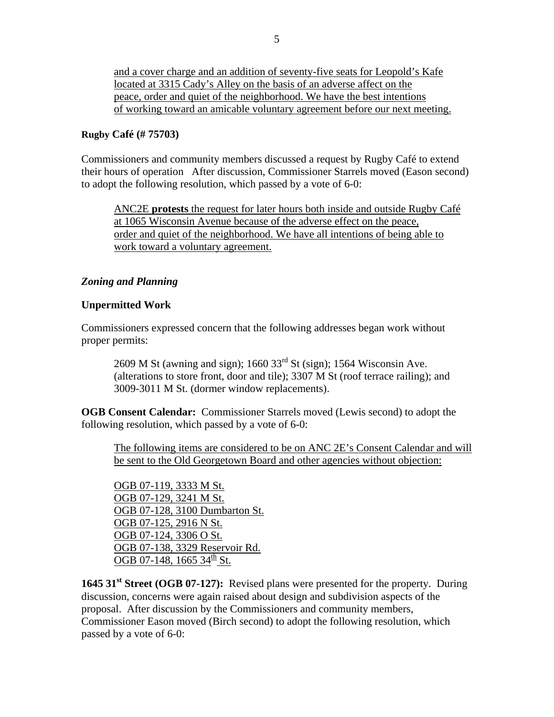and a cover charge and an addition of seventy-five seats for Leopold's Kafe located at 3315 Cady's Alley on the basis of an adverse affect on the peace, order and quiet of the neighborhood. We have the best intentions of working toward an amicable voluntary agreement before our next meeting.

#### **Rugby Café (# 75703)**

Commissioners and community members discussed a request by Rugby Café to extend their hours of operation After discussion, Commissioner Starrels moved (Eason second) to adopt the following resolution, which passed by a vote of 6-0:

ANC2E **protests** the request for later hours both inside and outside Rugby Café at 1065 Wisconsin Avenue because of the adverse effect on the peace, order and quiet of the neighborhood. We have all intentions of being able to work toward a voluntary agreement.

#### *Zoning and Planning*

#### **Unpermitted Work**

Commissioners expressed concern that the following addresses began work without proper permits:

2609 M St (awning and sign);  $1660$  33<sup>rd</sup> St (sign); 1564 Wisconsin Ave. (alterations to store front, door and tile); 3307 M St (roof terrace railing); and 3009-3011 M St. (dormer window replacements).

**OGB Consent Calendar:** Commissioner Starrels moved (Lewis second) to adopt the following resolution, which passed by a vote of 6-0:

The following items are considered to be on ANC 2E's Consent Calendar and will be sent to the Old Georgetown Board and other agencies without objection:

OGB 07-119, 3333 M St. OGB 07-129, 3241 M St. OGB 07-128, 3100 Dumbarton St. OGB 07-125, 2916 N St. OGB 07-124, 3306 O St. OGB 07-138, 3329 Reservoir Rd. OGB 07-148, 1665 34<sup>th</sup> St.

1645 31<sup>st</sup> Street (OGB 07-127): Revised plans were presented for the property. During discussion, concerns were again raised about design and subdivision aspects of the proposal. After discussion by the Commissioners and community members, Commissioner Eason moved (Birch second) to adopt the following resolution, which passed by a vote of 6-0: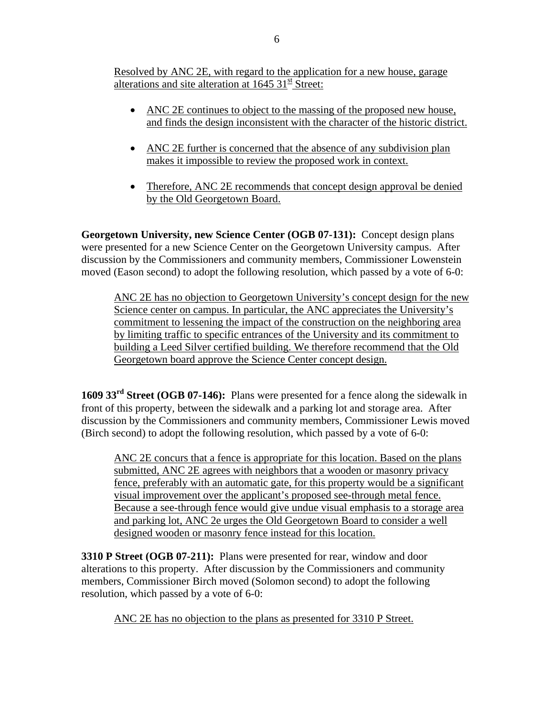Resolved by ANC 2E, with regard to the application for a new house, garage alterations and site alteration at  $1645 \frac{31}{15}$  Street:

- ANC 2E continues to object to the massing of the proposed new house, and finds the design inconsistent with the character of the historic district.
- ANC 2E further is concerned that the absence of any subdivision plan makes it impossible to review the proposed work in context.
- Therefore, ANC 2E recommends that concept design approval be denied by the Old Georgetown Board.

**Georgetown University, new Science Center (OGB 07-131):** Concept design plans were presented for a new Science Center on the Georgetown University campus. After discussion by the Commissioners and community members, Commissioner Lowenstein moved (Eason second) to adopt the following resolution, which passed by a vote of 6-0:

ANC 2E has no objection to Georgetown University's concept design for the new Science center on campus. In particular, the ANC appreciates the University's commitment to lessening the impact of the construction on the neighboring area by limiting traffic to specific entrances of the University and its commitment to building a Leed Silver certified building. We therefore recommend that the Old Georgetown board approve the Science Center concept design.

**1609 33rd Street (OGB 07-146):** Plans were presented for a fence along the sidewalk in front of this property, between the sidewalk and a parking lot and storage area. After discussion by the Commissioners and community members, Commissioner Lewis moved (Birch second) to adopt the following resolution, which passed by a vote of 6-0:

ANC 2E concurs that a fence is appropriate for this location. Based on the plans submitted, ANC 2E agrees with neighbors that a wooden or masonry privacy fence, preferably with an automatic gate, for this property would be a significant visual improvement over the applicant's proposed see-through metal fence. Because a see-through fence would give undue visual emphasis to a storage area and parking lot, ANC 2e urges the Old Georgetown Board to consider a well designed wooden or masonry fence instead for this location.

**3310 P Street (OGB 07-211):** Plans were presented for rear, window and door alterations to this property. After discussion by the Commissioners and community members, Commissioner Birch moved (Solomon second) to adopt the following resolution, which passed by a vote of 6-0:

ANC 2E has no objection to the plans as presented for 3310 P Street.